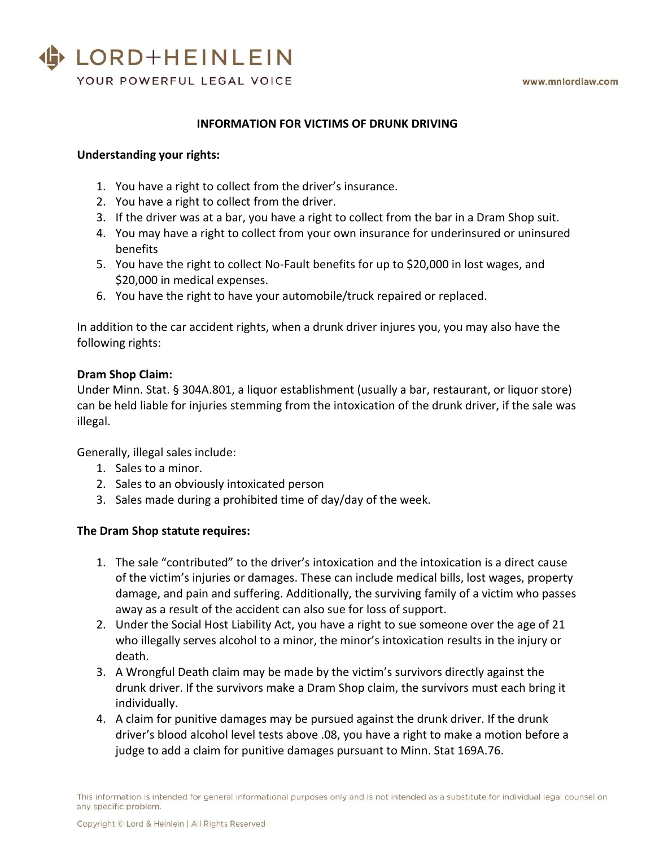## LORD+HEINLEIN

YOUR POWERFUL LEGAL VOICE

#### **INFORMATION FOR VICTIMS OF DRUNK DRIVING**

#### **Understanding your rights:**

- 1. You have a right to collect from the driver's insurance.
- 2. You have a right to collect from the driver.
- 3. If the driver was at a bar, you have a right to collect from the bar in a Dram Shop suit.
- 4. You may have a right to collect from your own insurance for underinsured or uninsured benefits
- 5. You have the right to collect No-Fault benefits for up to \$20,000 in lost wages, and \$20,000 in medical expenses.
- 6. You have the right to have your automobile/truck repaired or replaced.

In addition to the car accident rights, when a drunk driver injures you, you may also have the following rights:

#### **Dram Shop Claim:**

Under Minn. Stat. § 304A.801, a liquor establishment (usually a bar, restaurant, or liquor store) can be held liable for injuries stemming from the intoxication of the drunk driver, if the sale was illegal.

Generally, illegal sales include:

- 1. Sales to a minor.
- 2. Sales to an obviously intoxicated person
- 3. Sales made during a prohibited time of day/day of the week.

#### **The Dram Shop statute requires:**

- 1. The sale "contributed" to the driver's intoxication and the intoxication is a direct cause of the victim's injuries or damages. These can include medical bills, lost wages, property damage, and pain and suffering. Additionally, the surviving family of a victim who passes away as a result of the accident can also sue for loss of support.
- 2. Under the Social Host Liability Act, you have a right to sue someone over the age of 21 who illegally serves alcohol to a minor, the minor's intoxication results in the injury or death.
- 3. A Wrongful Death claim may be made by the victim's survivors directly against the drunk driver. If the survivors make a Dram Shop claim, the survivors must each bring it individually.
- 4. A claim for punitive damages may be pursued against the drunk driver. If the drunk driver's blood alcohol level tests above .08, you have a right to make a motion before a judge to add a claim for punitive damages pursuant to Minn. Stat 169A.76.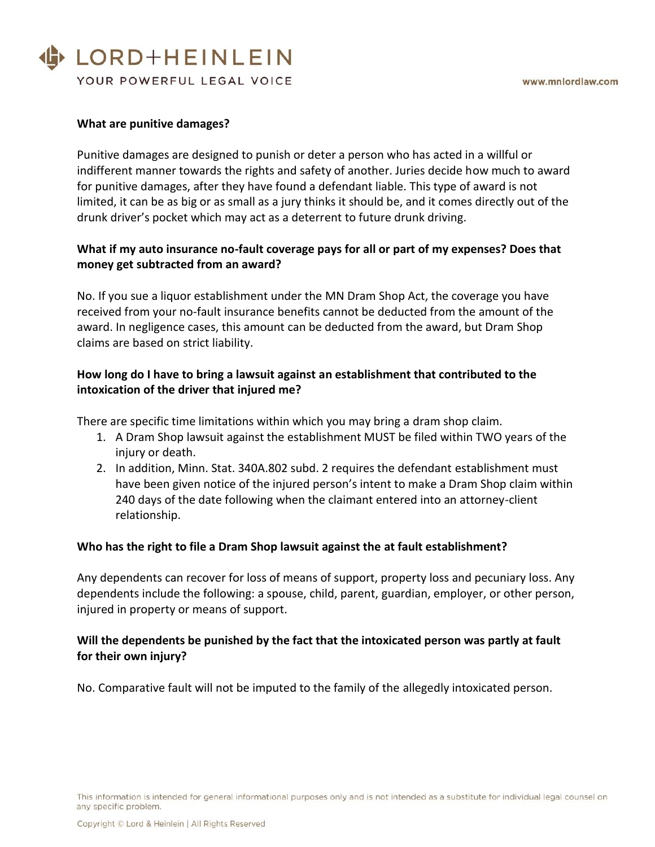# LORD+HEINLEIN

YOUR POWERFUL LEGAL VOICE

### **What are punitive damages?**

Punitive damages are designed to punish or deter a person who has acted in a willful or indifferent manner towards the rights and safety of another. Juries decide how much to award for punitive damages, after they have found a defendant liable. This type of award is not limited, it can be as big or as small as a jury thinks it should be, and it comes directly out of the drunk driver's pocket which may act as a deterrent to future drunk driving.

## **What if my auto insurance no-fault coverage pays for all or part of my expenses? Does that money get subtracted from an award?**

No. If you sue a liquor establishment under the MN Dram Shop Act, the coverage you have received from your no-fault insurance benefits cannot be deducted from the amount of the award. In negligence cases, this amount can be deducted from the award, but Dram Shop claims are based on strict liability.

## **How long do I have to bring a lawsuit against an establishment that contributed to the intoxication of the driver that injured me?**

There are specific time limitations within which you may bring a dram shop claim.

- 1. A Dram Shop lawsuit against the establishment MUST be filed within TWO years of the injury or death.
- 2. In addition, Minn. Stat. 340A.802 subd. 2 requires the defendant establishment must have been given notice of the injured person's intent to make a Dram Shop claim within 240 days of the date following when the claimant entered into an attorney-client relationship.

#### **Who has the right to file a Dram Shop lawsuit against the at fault establishment?**

Any dependents can recover for loss of means of support, property loss and pecuniary loss. Any dependents include the following: a spouse, child, parent, guardian, employer, or other person, injured in property or means of support.

## **Will the dependents be punished by the fact that the intoxicated person was partly at fault for their own injury?**

No. Comparative fault will not be imputed to the family of the allegedly intoxicated person.